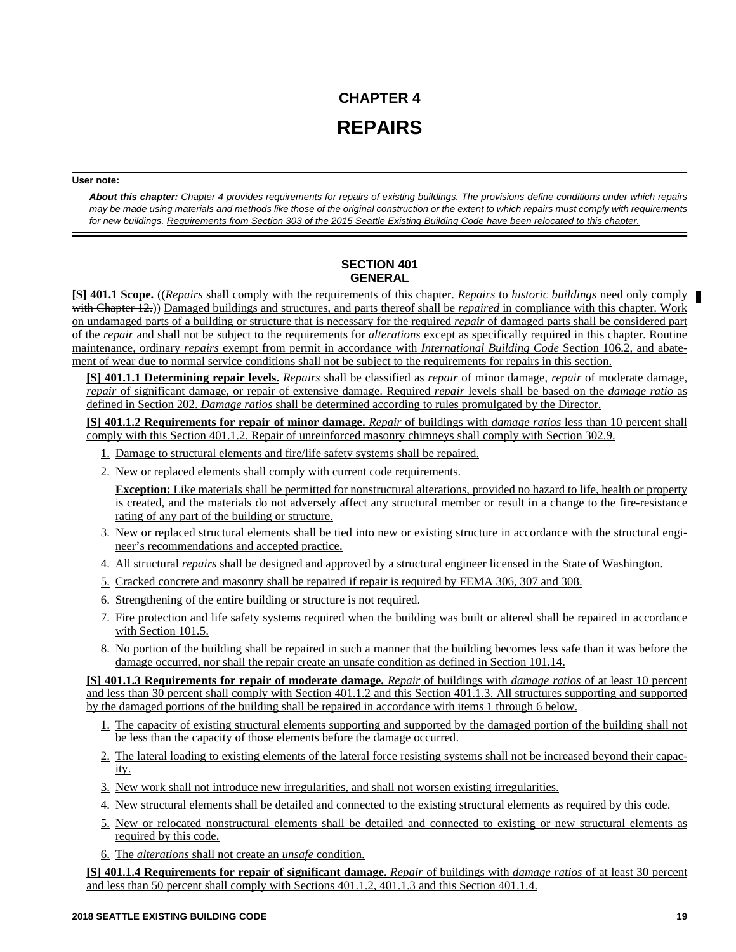# **CHAPTER 4 REPAIRS**

#### **User note:**

*About this chapter: Chapter 4 provides requirements for repairs of existing buildings. The provisions define conditions under which repairs may be made using materials and methods like those of the original construction or the extent to which repairs must comply with requirements for new buildings. Requirements from Section 303 of the 2015 Seattle Existing Building Code have been relocated to this chapter.*

# **SECTION 401 GENERAL**

**[S] 401.1 Scope.** ((*Repairs* shall comply with the requirements of this chapter. *Repairs* to *historic buildings* need only comply with Chapter 12.)) Damaged buildings and structures, and parts thereof shall be *repaired* in compliance with this chapter. Work on undamaged parts of a building or structure that is necessary for the required *repair* of damaged parts shall be considered part of the *repair* and shall not be subject to the requirements for *alterations* except as specifically required in this chapter. Routine maintenance, ordinary *repairs* exempt from permit in accordance with *International Building Code* Section 106.2, and abatement of wear due to normal service conditions shall not be subject to the requirements for repairs in this section.

**[S] 401.1.1 Determining repair levels.** *Repairs* shall be classified as *repair* of minor damage, *repair* of moderate damage, *repair* of significant damage, or repair of extensive damage. Required *repair* levels shall be based on the *damage ratio* as defined in Section 202. *Damage ratios* shall be determined according to rules promulgated by the Director.

**[S] 401.1.2 Requirements for repair of minor damage.** *Repair* of buildings with *damage ratios* less than 10 percent shall comply with this Section 401.1.2. Repair of unreinforced masonry chimneys shall comply with Section 302.9.

- 1. Damage to structural elements and fire/life safety systems shall be repaired.
- 2. New or replaced elements shall comply with current code requirements.

**Exception:** Like materials shall be permitted for nonstructural alterations, provided no hazard to life, health or property is created, and the materials do not adversely affect any structural member or result in a change to the fire-resistance rating of any part of the building or structure.

- 3. New or replaced structural elements shall be tied into new or existing structure in accordance with the structural engineer's recommendations and accepted practice.
- 4. All structural *repairs* shall be designed and approved by a structural engineer licensed in the State of Washington.
- 5. Cracked concrete and masonry shall be repaired if repair is required by FEMA 306, 307 and 308.
- 6. Strengthening of the entire building or structure is not required.
- 7. Fire protection and life safety systems required when the building was built or altered shall be repaired in accordance with Section 101.5.
- 8. No portion of the building shall be repaired in such a manner that the building becomes less safe than it was before the damage occurred, nor shall the repair create an unsafe condition as defined in Section 101.14.

**[S] 401.1.3 Requirements for repair of moderate damage.** *Repair* of buildings with *damage ratios* of at least 10 percent and less than 30 percent shall comply with Section 401.1.2 and this Section 401.1.3. All structures supporting and supported by the damaged portions of the building shall be repaired in accordance with items 1 through 6 below.

- 1. The capacity of existing structural elements supporting and supported by the damaged portion of the building shall not be less than the capacity of those elements before the damage occurred.
- 2. The lateral loading to existing elements of the lateral force resisting systems shall not be increased beyond their capacity.
- 3. New work shall not introduce new irregularities, and shall not worsen existing irregularities.
- 4. New structural elements shall be detailed and connected to the existing structural elements as required by this code.
- 5. New or relocated nonstructural elements shall be detailed and connected to existing or new structural elements as required by this code.
- 6. The *alterations* shall not create an *unsafe* condition.

**[S] 401.1.4 Requirements for repair of significant damage.** *Repair* of buildings with *damage ratios* of at least 30 percent and less than 50 percent shall comply with Sections 401.1.2, 401.1.3 and this Section 401.1.4.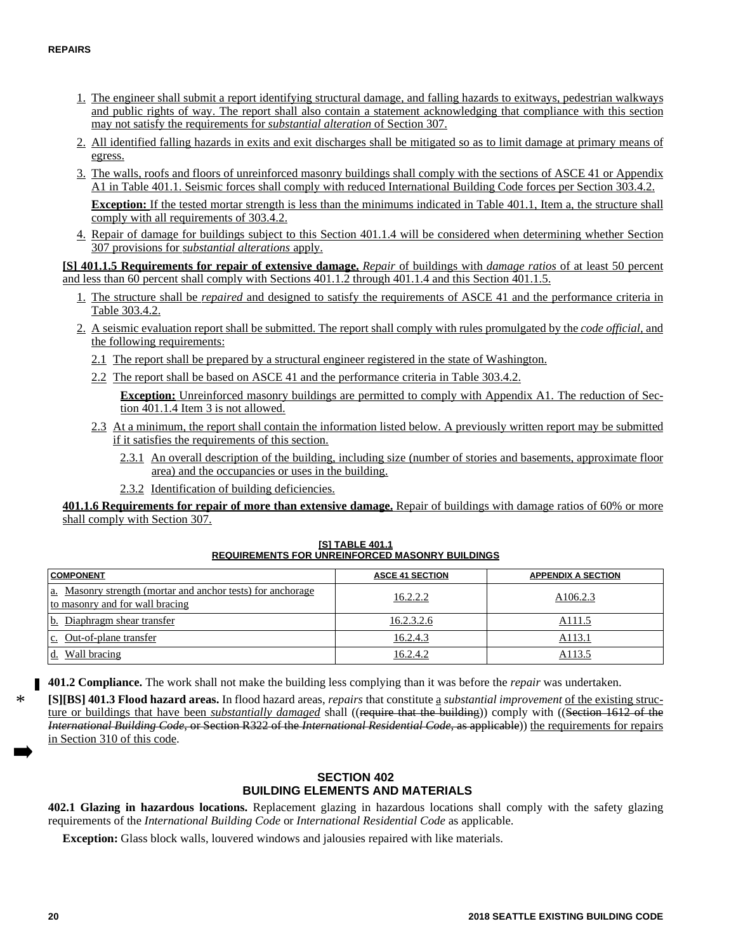- 1. The engineer shall submit a report identifying structural damage, and falling hazards to exitways, pedestrian walkways and public rights of way. The report shall also contain a statement acknowledging that compliance with this section may not satisfy the requirements for *substantial alteration* of Section 307.
- 2. All identified falling hazards in exits and exit discharges shall be mitigated so as to limit damage at primary means of egress.
- 3. The walls, roofs and floors of unreinforced masonry buildings shall comply with the sections of ASCE 41 or Appendix A1 in Table 401.1. Seismic forces shall comply with reduced International Building Code forces per Section 303.4.2.

**Exception:** If the tested mortar strength is less than the minimums indicated in Table 401.1, Item a, the structure shall comply with all requirements of 303.4.2.

4. Repair of damage for buildings subject to this Section 401.1.4 will be considered when determining whether Section 307 provisions for *substantial alterations* apply.

**[S] 401.1.5 Requirements for repair of extensive damage.** *Repair* of buildings with *damage ratios* of at least 50 percent and less than 60 percent shall comply with Sections 401.1.2 through 401.1.4 and this Section 401.1.5.

- 1. The structure shall be *repaired* and designed to satisfy the requirements of ASCE 41 and the performance criteria in Table 303.4.2.
- 2. A seismic evaluation report shall be submitted. The report shall comply with rules promulgated by the *code official,* and the following requirements:
	- 2.1 The report shall be prepared by a structural engineer registered in the state of Washington.
	- 2.2 The report shall be based on ASCE 41 and the performance criteria in Table 303.4.2.
		- **Exception:** Unreinforced masonry buildings are permitted to comply with Appendix A1. The reduction of Section 401.1.4 Item 3 is not allowed.
	- 2.3 At a minimum, the report shall contain the information listed below. A previously written report may be submitted if it satisfies the requirements of this section.
		- 2.3.1 An overall description of the building, including size (number of stories and basements, approximate floor area) and the occupancies or uses in the building.
		- 2.3.2 Identification of building deficiencies.

**401.1.6 Requirements for repair of more than extensive damage.** Repair of buildings with damage ratios of 60% or more shall comply with Section 307.

**COMPONENT ASCE 41 SECTION ASCE 41 SECTION APPENDIX A SECTION** a. Masonry strength (mortar and anchor tests) for anchorage  $\frac{\text{at}}{\text{at}}$  masonry and for wall bracing  $\frac{\text{at}}{\text{at}}$  bracing to masonry and for wall bracing b. Diaphragm shear transfer and the control of the 16.2.3.2.6 A111.5 c. Out-of-plane transfer  $16.2.4.3$  A113.1 d. Wall bracing 16.2.4.2 A113.5

**[S] TABLE 401.1 REQUIREMENTS FOR UNREINFORCED MASONRY BUILDINGS**

**401.2 Compliance.** The work shall not make the building less complying than it was before the *repair* was undertaken.

**[S][BS] 401.3 Flood hazard areas.** In flood hazard areas, *repairs* that constitute a *substantial improvement* of the existing structure or buildings that have been *substantially damaged* shall ((require that the building)) comply with ((Section 1612 of the *International Building Code*, or Section R322 of the *International Residential Code*, as applicable)) the requirements for repairs in Section 310 of this code.

## **SECTION 402 BUILDING ELEMENTS AND MATERIALS**

**402.1 Glazing in hazardous locations.** Replacement glazing in hazardous locations shall comply with the safety glazing requirements of the *International Building Code* or *International Residential Code* as applicable.

**Exception:** Glass block walls, louvered windows and jalousies repaired with like materials.

\*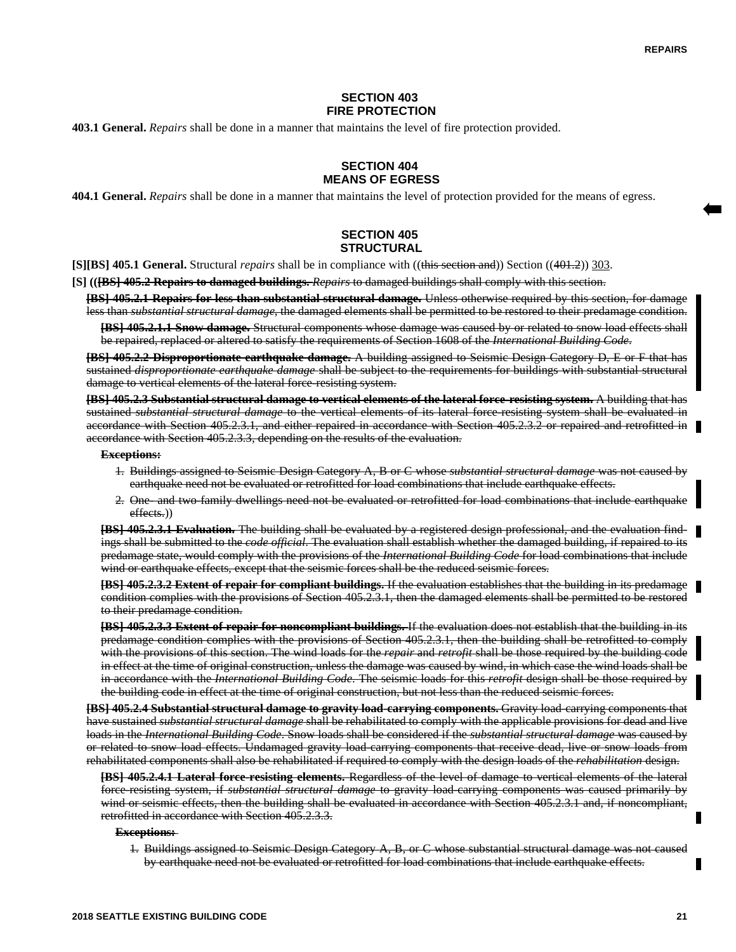### **SECTION 403 FIRE PROTECTION**

**403.1 General.** *Repairs* shall be done in a manner that maintains the level of fire protection provided.

# **SECTION 404 MEANS OF EGRESS**

**404.1 General.** *Repairs* shall be done in a manner that maintains the level of protection provided for the means of egress.

# **SECTION 405 STRUCTURAL**

**[S][BS] 405.1 General.** Structural *repairs* shall be in compliance with ((this section and)) Section ((401.2)) 303.

**[S] (([BS] 405.2 Repairs to damaged buildings.** *Repairs* to damaged buildings shall comply with this section.

**[BS] 405.2.1 Repairs for less than substantial structural damage.** Unless otherwise required by this section, for damage less than *substantial structural damage*, the damaged elements shall be permitted to be restored to their predamage condition. **[BS] 405.2.1.1 Snow damage.** Structural components whose damage was caused by or related to snow load effects shall

be repaired, replaced or altered to satisfy the requirements of Section 1608 of the *International Building Code*.

**[BS] 405.2.2 Disproportionate earthquake damage.** A building assigned to Seismic Design Category D, E or F that has sustained *disproportionate earthquake damage* shall be subject to the requirements for buildings with substantial structural damage to vertical elements of the lateral force-resisting system.

**[BS] 405.2.3 Substantial structural damage to vertical elements of the lateral force-resisting system.** A building that has sustained *substantial structural damage* to the vertical elements of its lateral force-resisting system shall be evaluated in accordance with Section 405.2.3.1, and either repaired in accordance with Section 405.2.3.2 or repaired and retrofitted in accordance with Section 405.2.3.3, depending on the results of the evaluation.

#### **Exceptions:**

- 1. Buildings assigned to Seismic Design Category A, B or C whose *substantial structural damage* was not caused by earthquake need not be evaluated or retrofitted for load combinations that include earthquake effects.
- 2. One- and two-family dwellings need not be evaluated or retrofitted for load combinations that include earthquake effects.))

**[BS] 405.2.3.1 Evaluation.** The building shall be evaluated by a registered design professional, and the evaluation findings shall be submitted to the *code official*. The evaluation shall establish whether the damaged building, if repaired to its predamage state, would comply with the provisions of the *International Building Code* for load combinations that include wind or earthquake effects*,* except that the seismic forces shall be the reduced seismic forces.

**[BS] 405.2.3.2 Extent of repair for compliant buildings.** If the evaluation establishes that the building in its predamage condition complies with the provisions of Section 405.2.3.1, then the damaged elements shall be permitted to be restored to their predamage condition.

**[BS] 405.2.3.3 Extent of repair for noncompliant buildings.** If the evaluation does not establish that the building in its predamage condition complies with the provisions of Section 405.2.3.1, then the building shall be retrofitted to comply with the provisions of this section. The wind loads for the *repair* and *retrofit* shall be those required by the building code in effect at the time of original construction, unless the damage was caused by wind, in which case the wind loads shall be in accordance with the *International Building Code*. The seismic loads for this *retrofit* design shall be those required by the building code in effect at the time of original construction, but not less than the reduced seismic forces.

**[BS] 405.2.4 Substantial structural damage to gravity load-carrying components.** Gravity load-carrying components that have sustained *substantial structural damage* shall be rehabilitated to comply with the applicable provisions for dead and live loads in the *International Building Code*. Snow loads shall be considered if the *substantial structural damage* was caused by or related to snow load effects. Undamaged gravity load-carrying components that receive dead, live or snow loads from rehabilitated components shall also be rehabilitated if required to comply with the design loads of the *rehabilitation* design.

**[BS] 405.2.4.1 Lateral force-resisting elements.** Regardless of the level of damage to vertical elements of the lateral force-resisting system, if *substantial structural damage* to gravity load-carrying components was caused primarily by wind or seismic effects, then the building shall be evaluated in accordance with Section 405.2.3.1 and, if noncompliant, retrofitted in accordance with Section 405.2.3.3.

#### **Exceptions:**

1. Buildings assigned to Seismic Design Category A, B, or C whose substantial structural damage was not caused by earthquake need not be evaluated or retrofitted for load combinations that include earthquake effects.